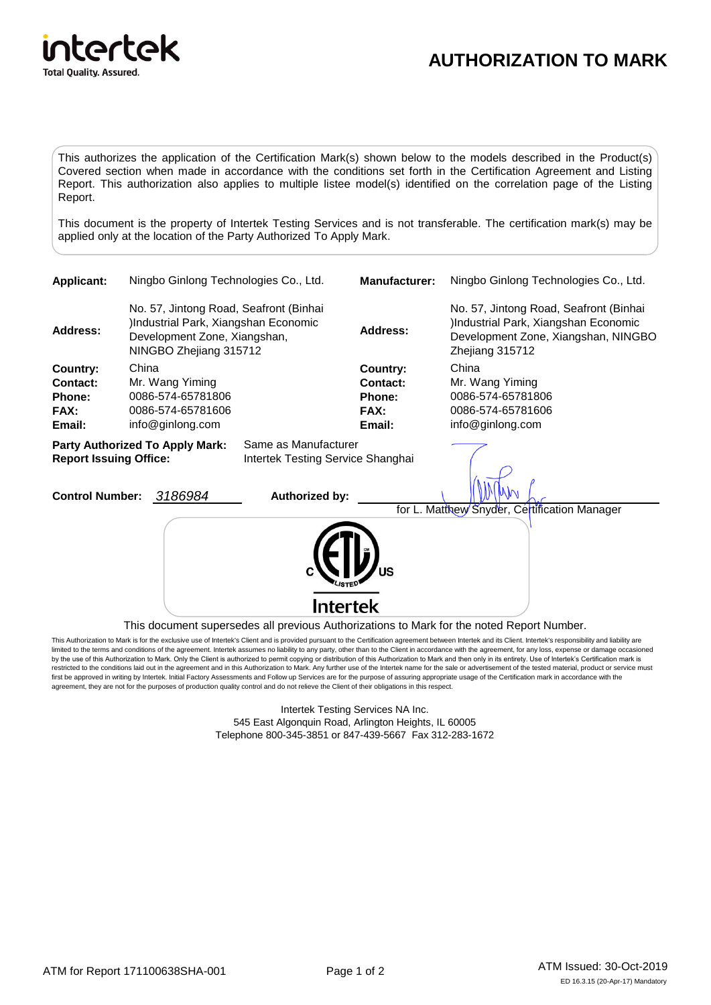

## **AUTHORIZATION TO MARK**

This authorizes the application of the Certification Mark(s) shown below to the models described in the Product(s) Covered section when made in accordance with the conditions set forth in the Certification Agreement and Listing Report. This authorization also applies to multiple listee model(s) identified on the correlation page of the Listing Report.

This document is the property of Intertek Testing Services and is not transferable. The certification mark(s) may be applied only at the location of the Party Authorized To Apply Mark.

| <b>Applicant:</b>                                                                                            | Ningbo Ginlong Technologies Co., Ltd.                                                                                                    |                                                                               |                                                                             | <b>Manufacturer:</b>                                           | Ningbo Ginlong Technologies Co., Ltd.                                                                                                     |
|--------------------------------------------------------------------------------------------------------------|------------------------------------------------------------------------------------------------------------------------------------------|-------------------------------------------------------------------------------|-----------------------------------------------------------------------------|----------------------------------------------------------------|-------------------------------------------------------------------------------------------------------------------------------------------|
| <b>Address:</b>                                                                                              | No. 57, Jintong Road, Seafront (Binhai<br>)Industrial Park, Xiangshan Economic<br>Development Zone, Xiangshan,<br>NINGBO Zhejiang 315712 |                                                                               |                                                                             | <b>Address:</b>                                                | No. 57, Jintong Road, Seafront (Binhai<br>)Industrial Park, Xiangshan Economic<br>Development Zone, Xiangshan, NINGBO<br>Zhejiang 315712  |
| Country:<br><b>Contact:</b><br><b>Phone:</b><br>FAX:<br>Email:                                               | China                                                                                                                                    | Mr. Wang Yiming<br>0086-574-65781806<br>0086-574-65781606<br>info@ginlong.com |                                                                             | <b>Country:</b><br>Contact:<br><b>Phone:</b><br>FAX:<br>Email: | China<br>Mr. Wang Yiming<br>0086-574-65781806<br>0086-574-65781606<br>info@ginlong.com                                                    |
| <b>Party Authorized To Apply Mark:</b><br><b>Report Issuing Office:</b><br>3186984<br><b>Control Number:</b> |                                                                                                                                          |                                                                               | Same as Manufacturer<br>Intertek Testing Service Shanghai<br>Authorized by: |                                                                |                                                                                                                                           |
|                                                                                                              |                                                                                                                                          |                                                                               | <b>Intertek</b>                                                             |                                                                | for L. Matthew Snyder, Certification Manager<br>This document supersedes all previous Authorizations to Mark for the noted Report Number. |

This Authorization to Mark is for the exclusive use of Intertek's Client and is provided pursuant to the Certification agreement between Intertek and its Client. Intertek's responsibility and liability are limited to the terms and conditions of the agreement. Intertek assumes no liability to any party, other than to the Client in accordance with the agreement, for any loss, expense or damage occasioned by the use of this Authorization to Mark. Only the Client is authorized to permit copying or distribution of this Authorization to Mark and then only in its entirety. Use of Intertek's Certification mark is restricted to the conditions laid out in the agreement and in this Authorization to Mark. Any further use of the Intertek name for the sale or advertisement of the tested material, product or service must first be approved in writing by Intertek. Initial Factory Assessments and Follow up Services are for the purpose of assuring appropriate usage of the Certification mark in accordance with the agreement, they are not for the purposes of production quality control and do not relieve the Client of their obligations in this respect.

> Intertek Testing Services NA Inc. 545 East Algonquin Road, Arlington Heights, IL 60005 Telephone 800-345-3851 or 847-439-5667 Fax 312-283-1672